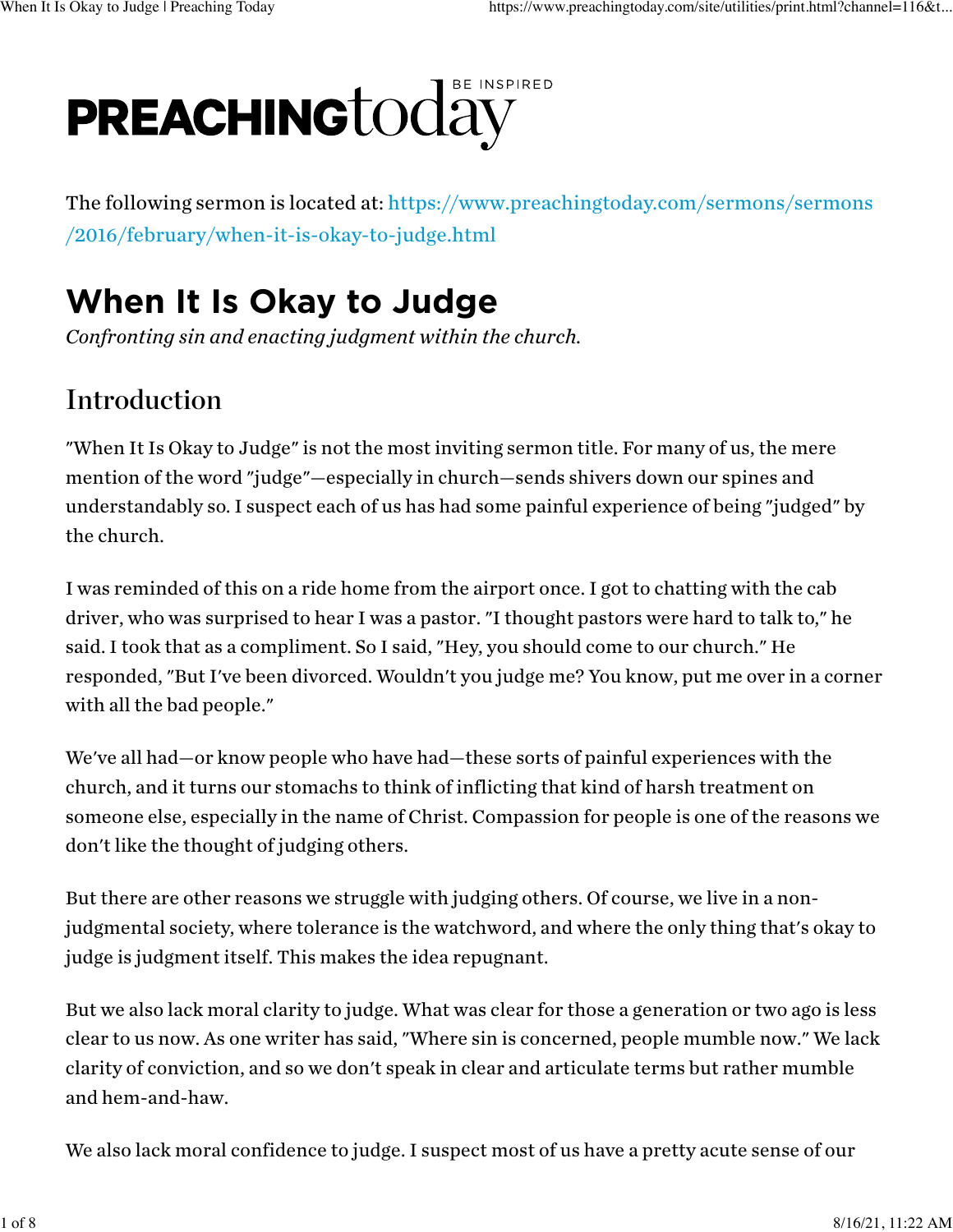# E INSPIRED PREACHING today

The following sermon is located at: [https://www.preachingtoday.com/sermons/sermons](https://www.preachingtoday.com/sermons/sermons/2016/february/when-it-is-okay-to-judge.html) [/2016/february/when-it-is-okay-to-judge.html](https://www.preachingtoday.com/sermons/sermons/2016/february/when-it-is-okay-to-judge.html)

# When It Is Okay to Judge

*Confronting sin and enacting judgment within the church.*

## Introduction

"When It Is Okay to Judge" is not the most inviting sermon title. For many of us, the mere mention of the word "judge"—especially in church—sends shivers down our spines and understandably so. I suspect each of us has had some painful experience of being "judged" by the church.

I was reminded of this on a ride home from the airport once. I got to chatting with the cab driver, who was surprised to hear I was a pastor. "I thought pastors were hard to talk to," he said. I took that as a compliment. So I said, "Hey, you should come to our church." He responded, "But I've been divorced. Wouldn't you judge me? You know, put me over in a corner with all the bad people."

We've all had—or know people who have had—these sorts of painful experiences with the church, and it turns our stomachs to think of inflicting that kind of harsh treatment on someone else, especially in the name of Christ. Compassion for people is one of the reasons we don't like the thought of judging others.

But there are other reasons we struggle with judging others. Of course, we live in a nonjudgmental society, where tolerance is the watchword, and where the only thing that's okay to judge is judgment itself. This makes the idea repugnant.

But we also lack moral clarity to judge. What was clear for those a generation or two ago is less clear to us now. As one writer has said, "Where sin is concerned, people mumble now." We lack clarity of conviction, and so we don't speak in clear and articulate terms but rather mumble and hem-and-haw.

We also lack moral confidence to judge. I suspect most of us have a pretty acute sense of our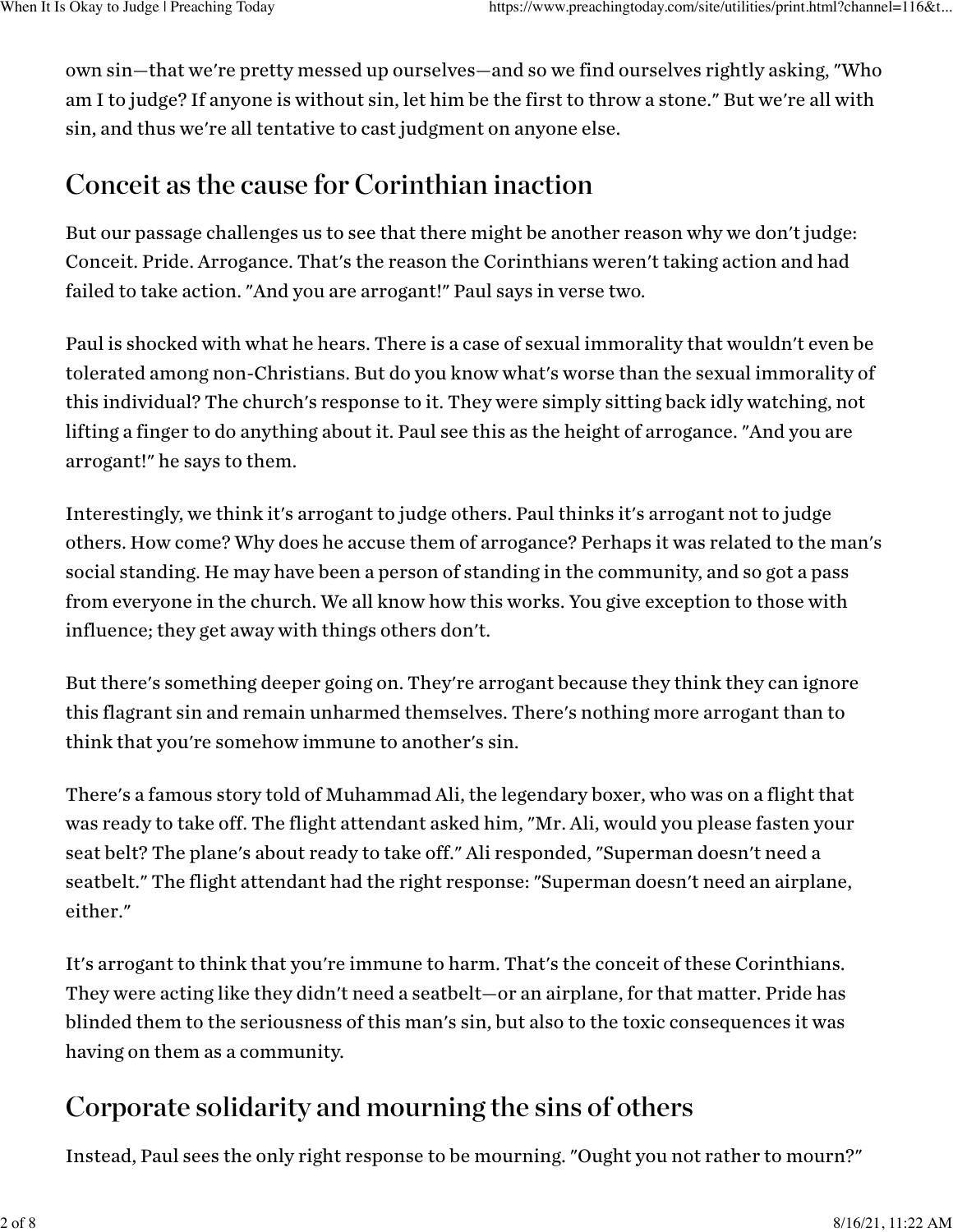own sin—that we're pretty messed up ourselves—and so we find ourselves rightly asking, "Who am I to judge? If anyone is without sin, let him be the first to throw a stone." But we're all with sin, and thus we're all tentative to cast judgment on anyone else.

### Conceit as the cause for Corinthian inaction

But our passage challenges us to see that there might be another reason why we don't judge: Conceit. Pride. Arrogance. That's the reason the Corinthians weren't taking action and had failed to take action. "And you are arrogant!" Paul says in verse two.

Paul is shocked with what he hears. There is a case of sexual immorality that wouldn't even be tolerated among non-Christians. But do you know what's worse than the sexual immorality of this individual? The church's response to it. They were simply sitting back idly watching, not lifting a finger to do anything about it. Paul see this as the height of arrogance. "And you are arrogant!" he says to them.

Interestingly, we think it's arrogant to judge others. Paul thinks it's arrogant not to judge others. How come? Why does he accuse them of arrogance? Perhaps it was related to the man's social standing. He may have been a person of standing in the community, and so got a pass from everyone in the church. We all know how this works. You give exception to those with influence; they get away with things others don't.

But there's something deeper going on. They're arrogant because they think they can ignore this flagrant sin and remain unharmed themselves. There's nothing more arrogant than to think that you're somehow immune to another's sin.

There's a famous story told of Muhammad Ali, the legendary boxer, who was on a flight that was ready to take off. The flight attendant asked him, "Mr. Ali, would you please fasten your seat belt? The plane's about ready to take off." Ali responded, "Superman doesn't need a seatbelt." The flight attendant had the right response: "Superman doesn't need an airplane, either."

It's arrogant to think that you're immune to harm. That's the conceit of these Corinthians. They were acting like they didn't need a seatbelt—or an airplane, for that matter. Pride has blinded them to the seriousness of this man's sin, but also to the toxic consequences it was having on them as a community.

## Corporate solidarity and mourning the sins of others

Instead, Paul sees the only right response to be mourning. "Ought you not rather to mourn?"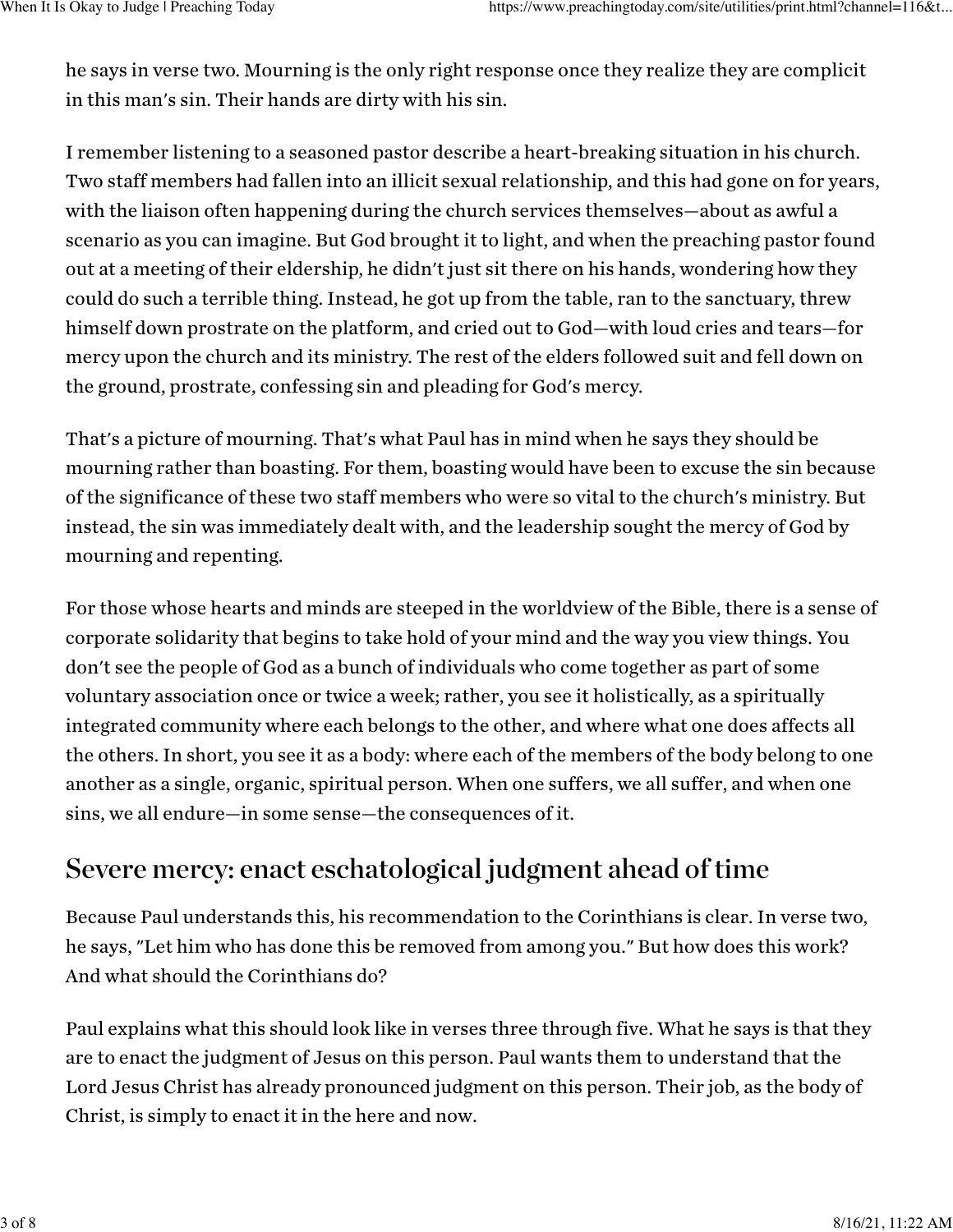he says in verse two. Mourning is the only right response once they realize they are complicit in this man's sin. Their hands are dirty with his sin.

I remember listening to a seasoned pastor describe a heart-breaking situation in his church. Two staff members had fallen into an illicit sexual relationship, and this had gone on for years, with the liaison often happening during the church services themselves—about as awful a scenario as you can imagine. But God brought it to light, and when the preaching pastor found out at a meeting of their eldership, he didn't just sit there on his hands, wondering how they could do such a terrible thing. Instead, he got up from the table, ran to the sanctuary, threw himself down prostrate on the platform, and cried out to God—with loud cries and tears—for mercy upon the church and its ministry. The rest of the elders followed suit and fell down on the ground, prostrate, confessing sin and pleading for God's mercy.

That's a picture of mourning. That's what Paul has in mind when he says they should be mourning rather than boasting. For them, boasting would have been to excuse the sin because of the significance of these two staff members who were so vital to the church's ministry. But instead, the sin was immediately dealt with, and the leadership sought the mercy of God by mourning and repenting.

For those whose hearts and minds are steeped in the worldview of the Bible, there is a sense of corporate solidarity that begins to take hold of your mind and the way you view things. You don't see the people of God as a bunch of individuals who come together as part of some voluntary association once or twice a week; rather, you see it holistically, as a spiritually integrated community where each belongs to the other, and where what one does affects all the others. In short, you see it as a body: where each of the members of the body belong to one another as a single, organic, spiritual person. When one suffers, we all suffer, and when one sins, we all endure—in some sense—the consequences of it.

### Severe mercy: enact eschatological judgment ahead of time

Because Paul understands this, his recommendation to the Corinthians is clear. In verse two, he says, "Let him who has done this be removed from among you." But how does this work? And what should the Corinthians do?

Paul explains what this should look like in verses three through five. What he says is that they are to enact the judgment of Jesus on this person. Paul wants them to understand that the Lord Jesus Christ has already pronounced judgment on this person. Their job, as the body of Christ, is simply to enact it in the here and now.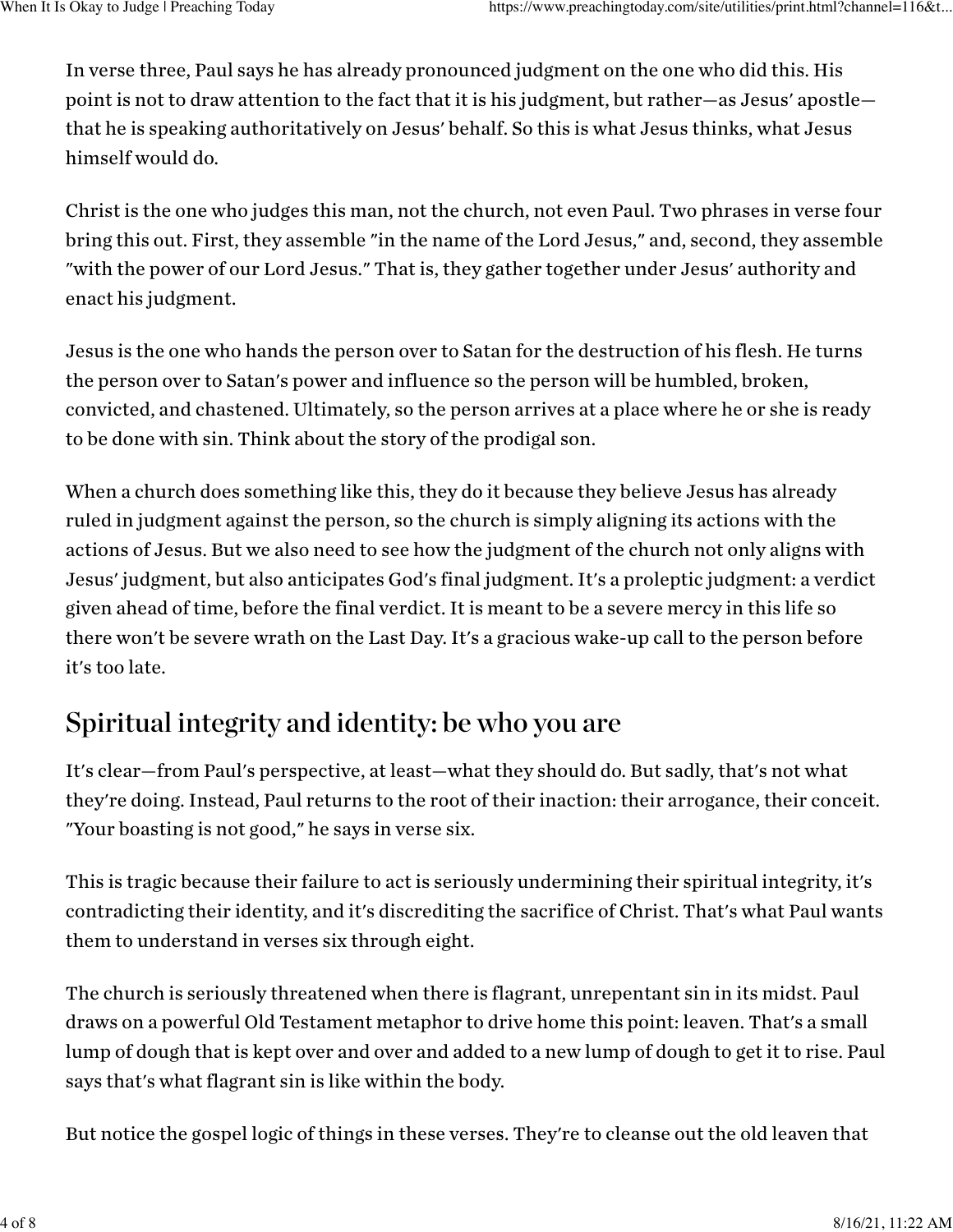In verse three, Paul says he has already pronounced judgment on the one who did this. His point is not to draw attention to the fact that it is his judgment, but rather—as Jesus' apostle that he is speaking authoritatively on Jesus' behalf. So this is what Jesus thinks, what Jesus himself would do.

Christ is the one who judges this man, not the church, not even Paul. Two phrases in verse four bring this out. First, they assemble "in the name of the Lord Jesus," and, second, they assemble "with the power of our Lord Jesus." That is, they gather together under Jesus' authority and enact his judgment.

Jesus is the one who hands the person over to Satan for the destruction of his flesh. He turns the person over to Satan's power and influence so the person will be humbled, broken, convicted, and chastened. Ultimately, so the person arrives at a place where he or she is ready to be done with sin. Think about the story of the prodigal son.

When a church does something like this, they do it because they believe Jesus has already ruled in judgment against the person, so the church is simply aligning its actions with the actions of Jesus. But we also need to see how the judgment of the church not only aligns with Jesus' judgment, but also anticipates God's final judgment. It's a proleptic judgment: a verdict given ahead of time, before the final verdict. It is meant to be a severe mercy in this life so there won't be severe wrath on the Last Day. It's a gracious wake-up call to the person before it's too late.

### Spiritual integrity and identity: be who you are

It's clear—from Paul's perspective, at least—what they should do. But sadly, that's not what they're doing. Instead, Paul returns to the root of their inaction: their arrogance, their conceit. "Your boasting is not good," he says in verse six.

This is tragic because their failure to act is seriously undermining their spiritual integrity, it's contradicting their identity, and it's discrediting the sacrifice of Christ. That's what Paul wants them to understand in verses six through eight.

The church is seriously threatened when there is flagrant, unrepentant sin in its midst. Paul draws on a powerful Old Testament metaphor to drive home this point: leaven. That's a small lump of dough that is kept over and over and added to a new lump of dough to get it to rise. Paul says that's what flagrant sin is like within the body.

But notice the gospel logic of things in these verses. They're to cleanse out the old leaven that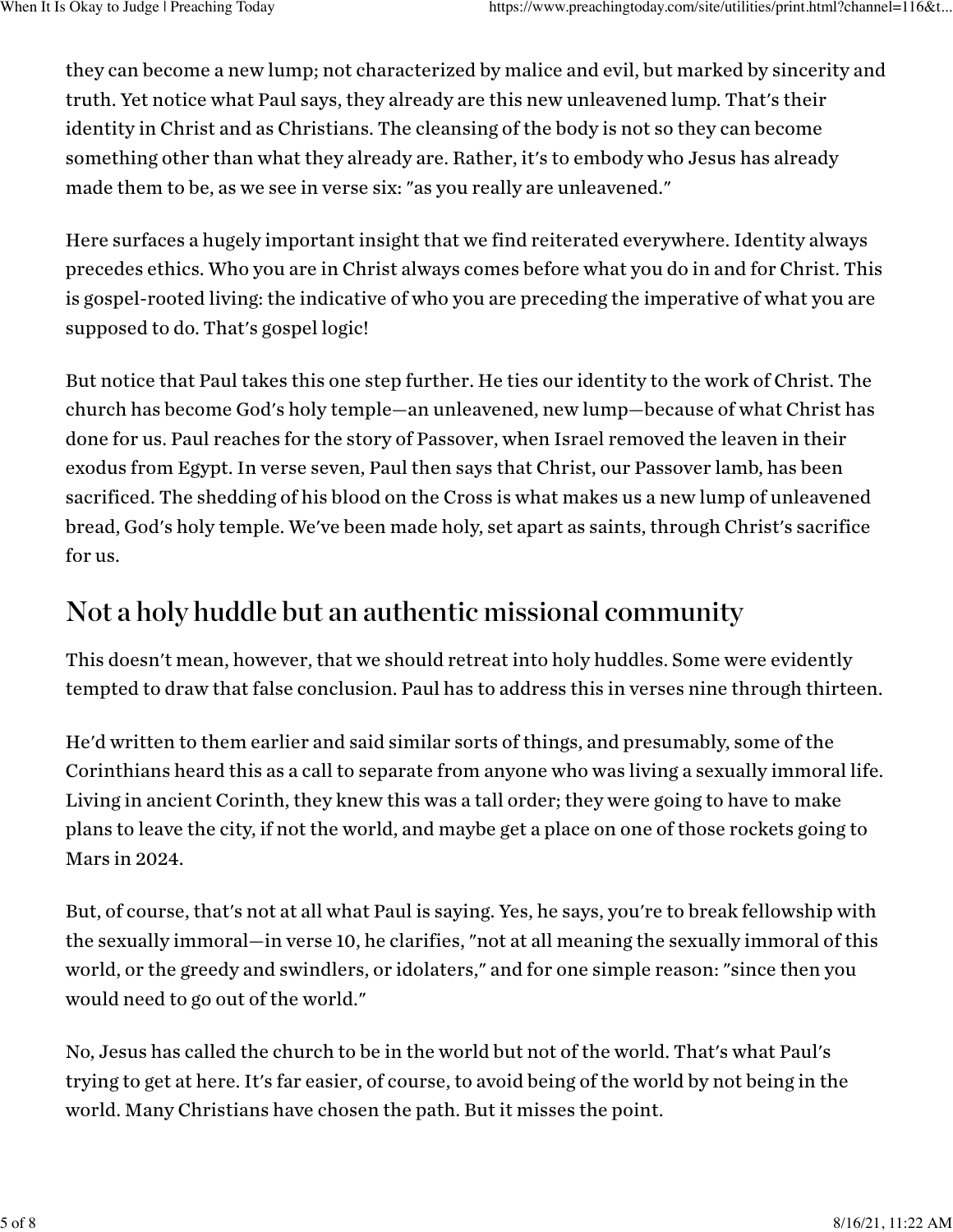they can become a new lump; not characterized by malice and evil, but marked by sincerity and truth. Yet notice what Paul says, they already are this new unleavened lump. That's their identity in Christ and as Christians. The cleansing of the body is not so they can become something other than what they already are. Rather, it's to embody who Jesus has already made them to be, as we see in verse six: "as you really are unleavened."

Here surfaces a hugely important insight that we find reiterated everywhere. Identity always precedes ethics. Who you are in Christ always comes before what you do in and for Christ. This is gospel-rooted living: the indicative of who you are preceding the imperative of what you are supposed to do. That's gospel logic!

But notice that Paul takes this one step further. He ties our identity to the work of Christ. The church has become God's holy temple—an unleavened, new lump—because of what Christ has done for us. Paul reaches for the story of Passover, when Israel removed the leaven in their exodus from Egypt. In verse seven, Paul then says that Christ, our Passover lamb, has been sacrificed. The shedding of his blood on the Cross is what makes us a new lump of unleavened bread, God's holy temple. We've been made holy, set apart as saints, through Christ's sacrifice for us.

#### Not a holy huddle but an authentic missional community

This doesn't mean, however, that we should retreat into holy huddles. Some were evidently tempted to draw that false conclusion. Paul has to address this in verses nine through thirteen.

He'd written to them earlier and said similar sorts of things, and presumably, some of the Corinthians heard this as a call to separate from anyone who was living a sexually immoral life. Living in ancient Corinth, they knew this was a tall order; they were going to have to make plans to leave the city, if not the world, and maybe get a place on one of those rockets going to Mars in 2024.

But, of course, that's not at all what Paul is saying. Yes, he says, you're to break fellowship with the sexually immoral—in verse 10, he clarifies, "not at all meaning the sexually immoral of this world, or the greedy and swindlers, or idolaters," and for one simple reason: "since then you would need to go out of the world."

No, Jesus has called the church to be in the world but not of the world. That's what Paul's trying to get at here. It's far easier, of course, to avoid being of the world by not being in the world. Many Christians have chosen the path. But it misses the point.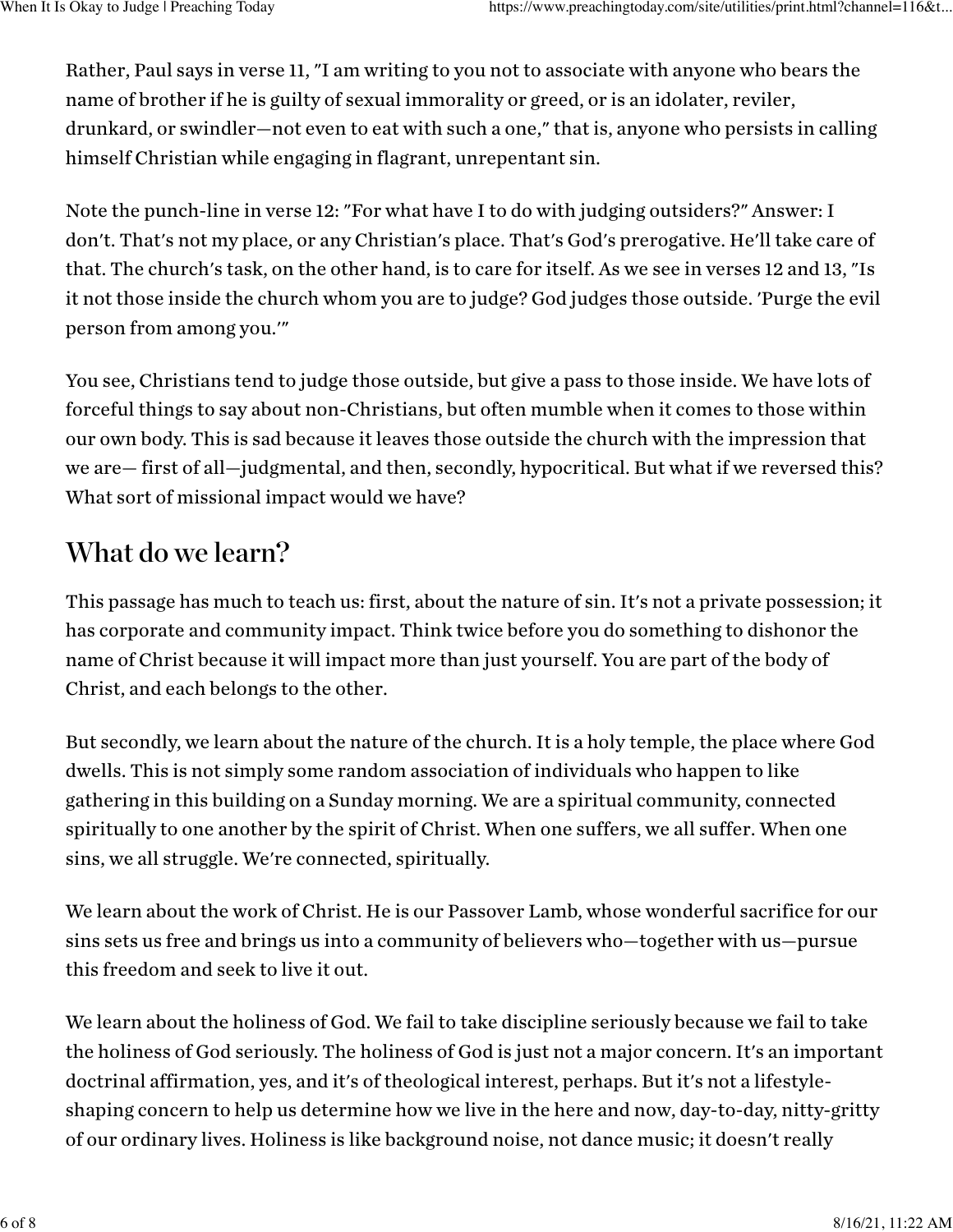Rather, Paul says in verse 11, "I am writing to you not to associate with anyone who bears the name of brother if he is guilty of sexual immorality or greed, or is an idolater, reviler, drunkard, or swindler—not even to eat with such a one," that is, anyone who persists in calling himself Christian while engaging in flagrant, unrepentant sin.

Note the punch-line in verse 12: "For what have I to do with judging outsiders?" Answer: I don't. That's not my place, or any Christian's place. That's God's prerogative. He'll take care of that. The church's task, on the other hand, is to care for itself. As we see in verses 12 and 13, "Is it not those inside the church whom you are to judge? God judges those outside. 'Purge the evil person from among you.'"

You see, Christians tend to judge those outside, but give a pass to those inside. We have lots of forceful things to say about non-Christians, but often mumble when it comes to those within our own body. This is sad because it leaves those outside the church with the impression that we are— first of all—judgmental, and then, secondly, hypocritical. But what if we reversed this? What sort of missional impact would we have?

#### What do we learn?

This passage has much to teach us: first, about the nature of sin. It's not a private possession; it has corporate and community impact. Think twice before you do something to dishonor the name of Christ because it will impact more than just yourself. You are part of the body of Christ, and each belongs to the other.

But secondly, we learn about the nature of the church. It is a holy temple, the place where God dwells. This is not simply some random association of individuals who happen to like gathering in this building on a Sunday morning. We are a spiritual community, connected spiritually to one another by the spirit of Christ. When one suffers, we all suffer. When one sins, we all struggle. We're connected, spiritually.

We learn about the work of Christ. He is our Passover Lamb, whose wonderful sacrifice for our sins sets us free and brings us into a community of believers who—together with us—pursue this freedom and seek to live it out.

We learn about the holiness of God. We fail to take discipline seriously because we fail to take the holiness of God seriously. The holiness of God is just not a major concern. It's an important doctrinal affirmation, yes, and it's of theological interest, perhaps. But it's not a lifestyleshaping concern to help us determine how we live in the here and now, day-to-day, nitty-gritty of our ordinary lives. Holiness is like background noise, not dance music; it doesn't really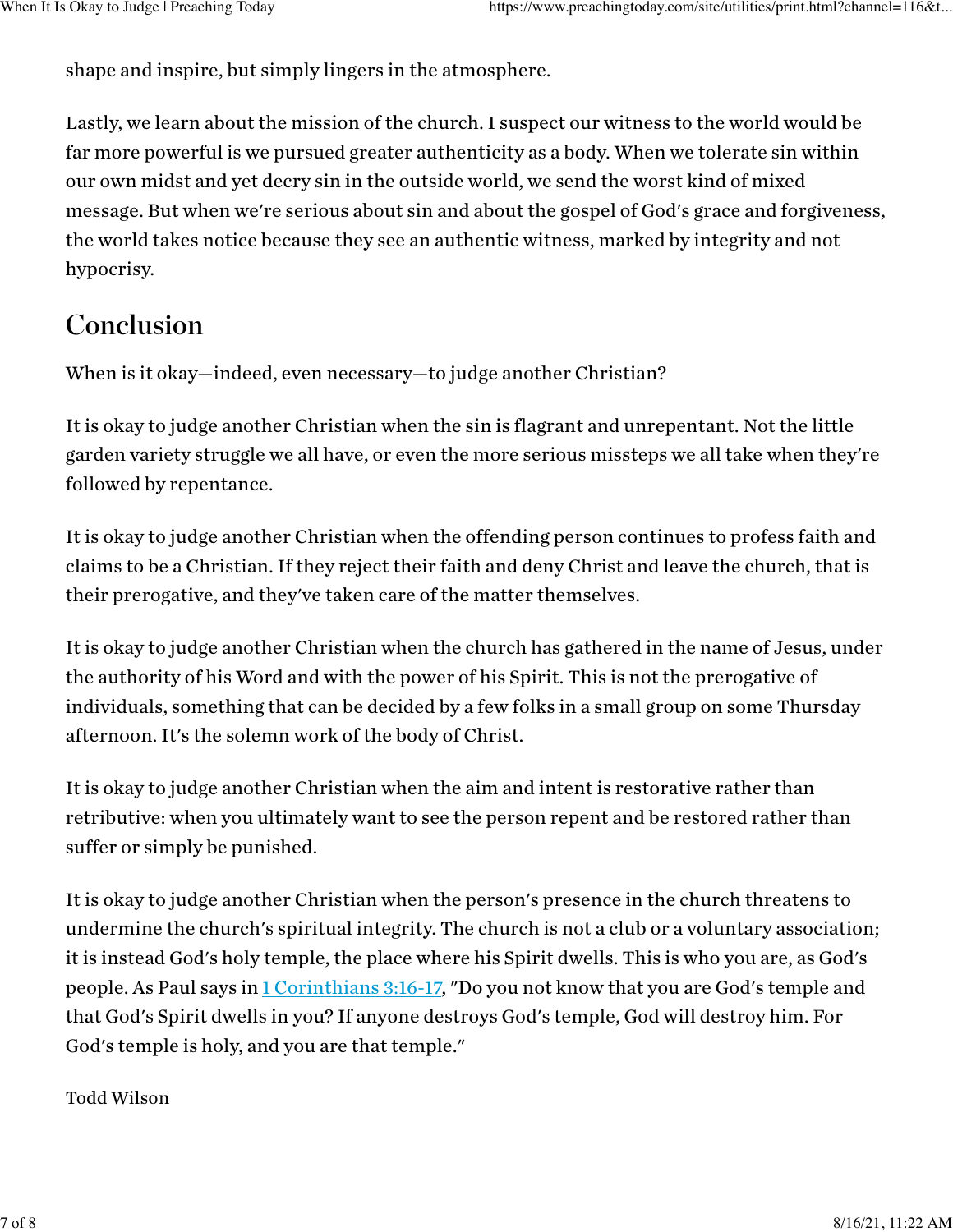shape and inspire, but simply lingers in the atmosphere.

Lastly, we learn about the mission of the church. I suspect our witness to the world would be far more powerful is we pursued greater authenticity as a body. When we tolerate sin within our own midst and yet decry sin in the outside world, we send the worst kind of mixed message. But when we're serious about sin and about the gospel of God's grace and forgiveness, the world takes notice because they see an authentic witness, marked by integrity and not hypocrisy.

### Conclusion

When is it okay—indeed, even necessary—to judge another Christian?

It is okay to judge another Christian when the sin is flagrant and unrepentant. Not the little garden variety struggle we all have, or even the more serious missteps we all take when they're followed by repentance.

It is okay to judge another Christian when the offending person continues to profess faith and claims to be a Christian. If they reject their faith and deny Christ and leave the church, that is their prerogative, and they've taken care of the matter themselves.

It is okay to judge another Christian when the church has gathered in the name of Jesus, under the authority of his Word and with the power of his Spirit. This is not the prerogative of individuals, something that can be decided by a few folks in a small group on some Thursday afternoon. It's the solemn work of the body of Christ.

It is okay to judge another Christian when the aim and intent is restorative rather than retributive: when you ultimately want to see the person repent and be restored rather than suffer or simply be punished.

It is okay to judge another Christian when the person's presence in the church threatens to undermine the church's spiritual integrity. The church is not a club or a voluntary association; it is instead God's holy temple, the place where his Spirit dwells. This is who you are, as God's people. As Paul says in [1 Corinthians](https://www.biblegateway.com/passage/?search=1%20Corinthians+3%3A16-3%3A17) 3:16-17, "Do you not know that you are God's temple and that God's Spirit dwells in you? If anyone destroys God's temple, God will destroy him. For God's temple is holy, and you are that temple."

#### Todd Wilson